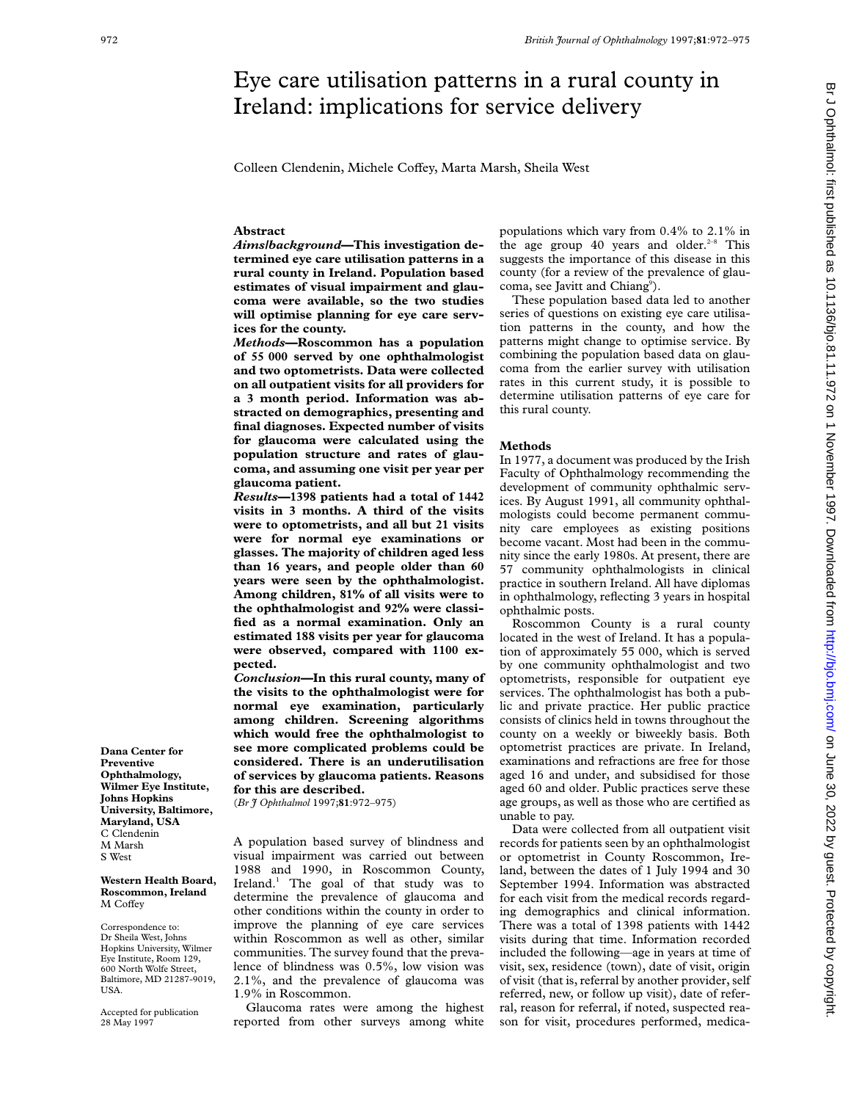# Eye care utilisation patterns in a rural county in Ireland: implications for service delivery

Colleen Clendenin, Michele Coffey, Marta Marsh, Sheila West

## **Abstract**

*Aims/background***—This investigation determined eye care utilisation patterns in a rural county in Ireland. Population based estimates of visual impairment and glaucoma were available, so the two studies will optimise planning for eye care services for the county.**

*Methods***—Roscommon has a population of 55 000 served by one ophthalmologist and two optometrists. Data were collected on all outpatient visits for all providers for a 3 month period. Information was abstracted on demographics, presenting and final diagnoses. Expected number of visits for glaucoma were calculated using the population structure and rates of glaucoma, and assuming one visit per year per glaucoma patient.**

*Results***—1398 patients had a total of 1442 visits in 3 months. A third of the visits were to optometrists, and all but 21 visits were for normal eye examinations or glasses. The majority of children aged less than 16 years, and people older than 60 years were seen by the ophthalmologist. Among children, 81% of all visits were to the ophthalmologist and 92% were classified as a normal examination. Only an estimated 188 visits per year for glaucoma were observed, compared with 1100 expected.**

*Conclusion***—In this rural county, many of the visits to the ophthalmologist were for normal eye examination, particularly among children. Screening algorithms which would free the ophthalmologist to see more complicated problems could be considered. There is an underutilisation of services by glaucoma patients. Reasons for this are described.**

(*Br J Ophthalmol* 1997;**81**:972–975)

A population based survey of blindness and visual impairment was carried out between 1988 and 1990, in Roscommon County, Ireland.<sup>1</sup> The goal of that study was to determine the prevalence of glaucoma and other conditions within the county in order to improve the planning of eye care services within Roscommon as well as other, similar communities. The survey found that the prevalence of blindness was 0.5%, low vision was 2.1%, and the prevalence of glaucoma was 1.9% in Roscommon.

Glaucoma rates were among the highest reported from other surveys among white populations which vary from 0.4% to 2.1% in the age group 40 years and older.<sup>2-8</sup> This suggests the importance of this disease in this county (for a review of the prevalence of glaucoma, see Javitt and Chiang<sup>9</sup>).

These population based data led to another series of questions on existing eye care utilisation patterns in the county, and how the patterns might change to optimise service. By combining the population based data on glaucoma from the earlier survey with utilisation rates in this current study, it is possible to determine utilisation patterns of eye care for this rural county.

## **Methods**

In 1977, a document was produced by the Irish Faculty of Ophthalmology recommending the development of community ophthalmic services. By August 1991, all community ophthalmologists could become permanent community care employees as existing positions become vacant. Most had been in the community since the early 1980s. At present, there are 57 community ophthalmologists in clinical practice in southern Ireland. All have diplomas in ophthalmology, reflecting 3 years in hospital ophthalmic posts.

Roscommon County is a rural county located in the west of Ireland. It has a population of approximately 55 000, which is served by one community ophthalmologist and two optometrists, responsible for outpatient eye services. The ophthalmologist has both a public and private practice. Her public practice consists of clinics held in towns throughout the county on a weekly or biweekly basis. Both optometrist practices are private. In Ireland, examinations and refractions are free for those aged 16 and under, and subsidised for those aged 60 and older. Public practices serve these age groups, as well as those who are certified as unable to pay.

Data were collected from all outpatient visit records for patients seen by an ophthalmologist or optometrist in County Roscommon, Ireland, between the dates of 1 July 1994 and 30 September 1994. Information was abstracted for each visit from the medical records regarding demographics and clinical information. There was a total of 1398 patients with 1442 visits during that time. Information recorded included the following—age in years at time of visit, sex, residence (town), date of visit, origin of visit (that is, referral by another provider, self referred, new, or follow up visit), date of referral, reason for referral, if noted, suspected reason for visit, procedures performed, medica-

**Dana Center for Preventive Ophthalmology, Wilmer Eye Institute, Johns Hopkins University, Baltimore, Maryland, USA** C Clendenin M Marsh S West

#### **Western Health Board, Roscommon, Ireland** M Coffey

Correspondence to: Dr Sheila West, Johns Hopkins University, Wilmer Eye Institute, Room 129, 600 North Wolfe Street, Baltimore, MD 21287-9019, USA.

Accepted for publication 28 May 1997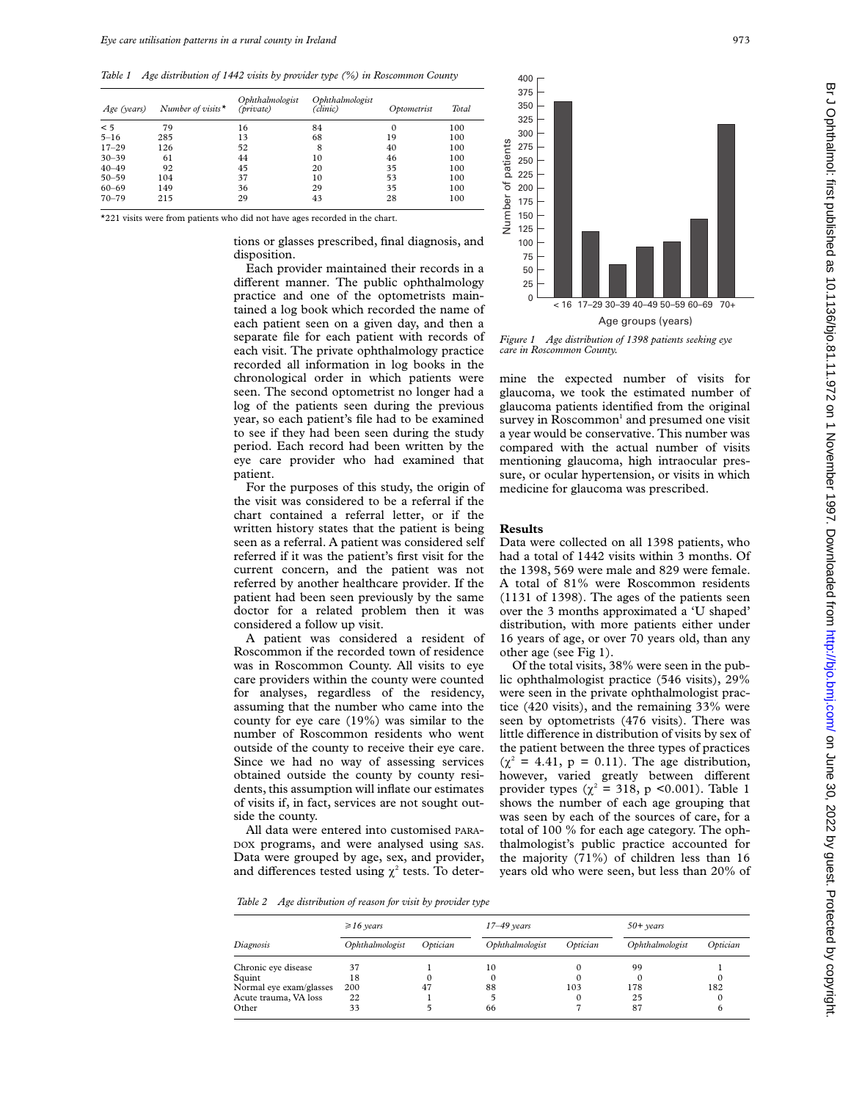*Table 1 Age distribution of 1442 visits by provider type (%) in Roscommon County*

| Age (years) | Number of visits $\star$ | Ophthalmologist<br>(private) | Ophthalmologist<br>(clinic) | Optometrist | Total |
|-------------|--------------------------|------------------------------|-----------------------------|-------------|-------|
| < 5         | 79                       | 16                           | 84                          | 0           | 100   |
| $5 - 16$    | 285                      | 13                           | 68                          | 19          | 100   |
| $17 - 29$   | 126                      | 52                           | 8                           | 40          | 100   |
| $30 - 39$   | 61                       | 44                           | 10                          | 46          | 100   |
| $40 - 49$   | 92                       | 45                           | 20                          | 35          | 100   |
| $50 - 59$   | 104                      | 37                           | 10                          | 53          | 100   |
| $60 - 69$   | 149                      | 36                           | 29                          | 35          | 100   |
| $70 - 79$   | 215                      | 29                           | 43                          | 28          | 100   |

\*221 visits were from patients who did not have ages recorded in the chart.

tions or glasses prescribed, final diagnosis, and disposition.

Each provider maintained their records in a different manner. The public ophthalmology practice and one of the optometrists maintained a log book which recorded the name of each patient seen on a given day, and then a separate file for each patient with records of each visit. The private ophthalmology practice recorded all information in log books in the chronological order in which patients were seen. The second optometrist no longer had a log of the patients seen during the previous year, so each patient's file had to be examined to see if they had been seen during the study period. Each record had been written by the eye care provider who had examined that patient.

For the purposes of this study, the origin of the visit was considered to be a referral if the chart contained a referral letter, or if the written history states that the patient is being seen as a referral. A patient was considered self referred if it was the patient's first visit for the current concern, and the patient was not referred by another healthcare provider. If the patient had been seen previously by the same doctor for a related problem then it was considered a follow up visit.

A patient was considered a resident of Roscommon if the recorded town of residence was in Roscommon County. All visits to eye care providers within the county were counted for analyses, regardless of the residency, assuming that the number who came into the county for eye care (19%) was similar to the number of Roscommon residents who went outside of the county to receive their eye care. Since we had no way of assessing services obtained outside the county by county residents, this assumption will inflate our estimates of visits if, in fact, services are not sought outside the county.

All data were entered into customised PARA-DOX programs, and were analysed using SAS. Data were grouped by age, sex, and provider, and differences tested using  $\chi^2$  tests. To deter-



*Figure 1 Age distribution of 1398 patients seeking eye care in Roscommon County.*

mine the expected number of visits for glaucoma, we took the estimated number of glaucoma patients identified from the original survey in Roscommon<sup>1</sup> and presumed one visit a year would be conservative. This number was compared with the actual number of visits mentioning glaucoma, high intraocular pressure, or ocular hypertension, or visits in which medicine for glaucoma was prescribed.

## **Results**

Data were collected on all 1398 patients, who had a total of 1442 visits within 3 months. Of the 1398, 569 were male and 829 were female. A total of 81% were Roscommon residents (1131 of 1398). The ages of the patients seen over the 3 months approximated a 'U shaped' distribution, with more patients either under 16 years of age, or over 70 years old, than any other age (see Fig 1).

Of the total visits, 38% were seen in the public ophthalmologist practice (546 visits), 29% were seen in the private ophthalmologist practice (420 visits), and the remaining 33% were seen by optometrists (476 visits). There was little difference in distribution of visits by sex of the patient between the three types of practices  $(\chi^2 = 4.41, p = 0.11)$ . The age distribution, however, varied greatly between different provider types ( $\chi^2$  = 318, p <0.001). Table 1 shows the number of each age grouping that was seen by each of the sources of care, for a total of 100 % for each age category. The ophthalmologist's public practice accounted for the majority (71%) of children less than 16 years old who were seen, but less than 20% of

*Table 2 Age distribution of reason for visit by provider type*

|                         | $\geq 16$ years |          | $17 - 49$ years |          | $50+$ years     |          |
|-------------------------|-----------------|----------|-----------------|----------|-----------------|----------|
| Diagnosis               | Ophthalmologist | Optician | Ophthalmologist | Optician | Ophthalmologist | Optician |
| Chronic eye disease     | 37              |          | 10              |          | 99              |          |
| Squint                  | 18              | 0        |                 |          |                 |          |
| Normal eye exam/glasses | 200             | 47       | 88              | 103      | 178             | 182      |
| Acute trauma, VA loss   | 22              |          |                 | 0        | 25              |          |
| Other                   | 33              |          | 66              |          | 87              |          |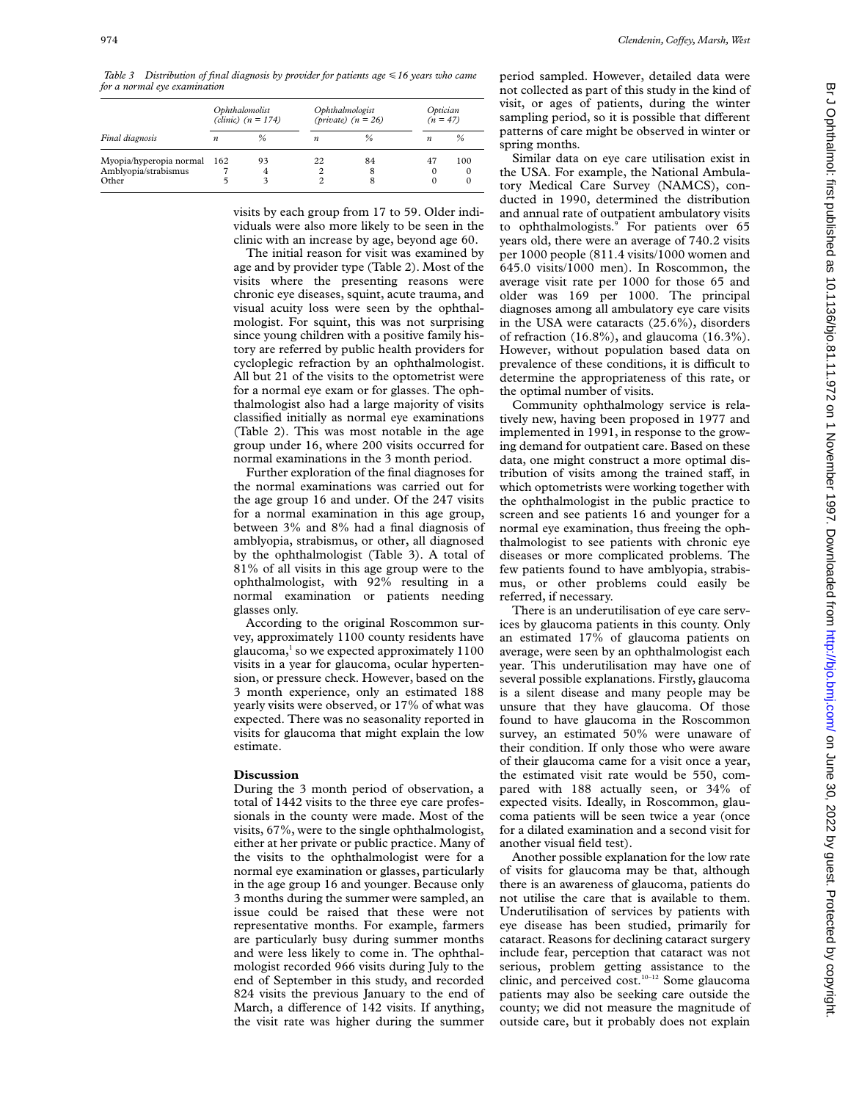*Table 3 Distribution of final diagnosis by provider for patients age* <*16 years who came for a normal eye examination*

|                                                          | Ophthalomolist<br>(clinic) $(n = 174)$ |              | Ophthalmologist<br>(private) $(n = 26)$ |               | Optician<br>$(n = 47)$ |                      |
|----------------------------------------------------------|----------------------------------------|--------------|-----------------------------------------|---------------|------------------------|----------------------|
| Final diagnosis                                          | $\boldsymbol{n}$                       | %            | $\boldsymbol{n}$                        | $\frac{6}{2}$ | $\boldsymbol{n}$       | %                    |
| Myopia/hyperopia normal<br>Amblyopia/strabismus<br>Other | 162<br>5                               | 93<br>4<br>3 | 22                                      | 84<br>8<br>8  | 47<br>0                | 100<br>$\Omega$<br>0 |

visits by each group from 17 to 59. Older individuals were also more likely to be seen in the clinic with an increase by age, beyond age 60.

The initial reason for visit was examined by age and by provider type (Table 2). Most of the visits where the presenting reasons were chronic eye diseases, squint, acute trauma, and visual acuity loss were seen by the ophthalmologist. For squint, this was not surprising since young children with a positive family history are referred by public health providers for cycloplegic refraction by an ophthalmologist. All but 21 of the visits to the optometrist were for a normal eye exam or for glasses. The ophthalmologist also had a large majority of visits classified initially as normal eye examinations (Table 2). This was most notable in the age group under 16, where 200 visits occurred for normal examinations in the 3 month period.

Further exploration of the final diagnoses for the normal examinations was carried out for the age group 16 and under. Of the 247 visits for a normal examination in this age group, between 3% and 8% had a final diagnosis of amblyopia, strabismus, or other, all diagnosed by the ophthalmologist (Table 3). A total of 81% of all visits in this age group were to the ophthalmologist, with 92% resulting in a normal examination or patients needing glasses only.

According to the original Roscommon survey, approximately 1100 county residents have  $g$ laucoma,<sup>1</sup> so we expected approximately 1100 visits in a year for glaucoma, ocular hypertension, or pressure check. However, based on the 3 month experience, only an estimated 188 yearly visits were observed, or 17% of what was expected. There was no seasonality reported in visits for glaucoma that might explain the low estimate.

### **Discussion**

During the 3 month period of observation, a total of 1442 visits to the three eye care professionals in the county were made. Most of the visits, 67%, were to the single ophthalmologist, either at her private or public practice. Many of the visits to the ophthalmologist were for a normal eye examination or glasses, particularly in the age group 16 and younger. Because only 3 months during the summer were sampled, an issue could be raised that these were not representative months. For example, farmers are particularly busy during summer months and were less likely to come in. The ophthalmologist recorded 966 visits during July to the end of September in this study, and recorded 824 visits the previous January to the end of March, a difference of 142 visits. If anything, the visit rate was higher during the summer

period sampled. However, detailed data were not collected as part of this study in the kind of visit, or ages of patients, during the winter sampling period, so it is possible that different patterns of care might be observed in winter or spring months.

Similar data on eye care utilisation exist in the USA. For example, the National Ambulatory Medical Care Survey (NAMCS), conducted in 1990, determined the distribution and annual rate of outpatient ambulatory visits to ophthalmologists.<sup>9</sup> For patients over 65 years old, there were an average of 740.2 visits per 1000 people (811.4 visits/1000 women and 645.0 visits/1000 men). In Roscommon, the average visit rate per 1000 for those 65 and older was 169 per 1000. The principal diagnoses among all ambulatory eye care visits in the USA were cataracts (25.6%), disorders of refraction (16.8%), and glaucoma (16.3%). However, without population based data on prevalence of these conditions, it is difficult to determine the appropriateness of this rate, or the optimal number of visits.

Community ophthalmology service is relatively new, having been proposed in 1977 and implemented in 1991, in response to the growing demand for outpatient care. Based on these data, one might construct a more optimal distribution of visits among the trained staff, in which optometrists were working together with the ophthalmologist in the public practice to screen and see patients 16 and younger for a normal eye examination, thus freeing the ophthalmologist to see patients with chronic eye diseases or more complicated problems. The few patients found to have amblyopia, strabismus, or other problems could easily be referred, if necessary.

There is an underutilisation of eye care services by glaucoma patients in this county. Only an estimated 17% of glaucoma patients on average, were seen by an ophthalmologist each year. This underutilisation may have one of several possible explanations. Firstly, glaucoma is a silent disease and many people may be unsure that they have glaucoma. Of those found to have glaucoma in the Roscommon survey, an estimated 50% were unaware of their condition. If only those who were aware of their glaucoma came for a visit once a year, the estimated visit rate would be 550, compared with 188 actually seen, or 34% of expected visits. Ideally, in Roscommon, glaucoma patients will be seen twice a year (once for a dilated examination and a second visit for another visual field test).

Another possible explanation for the low rate of visits for glaucoma may be that, although there is an awareness of glaucoma, patients do not utilise the care that is available to them. Underutilisation of services by patients with eye disease has been studied, primarily for cataract. Reasons for declining cataract surgery include fear, perception that cataract was not serious, problem getting assistance to the clinic, and perceived cost.10–12 Some glaucoma patients may also be seeking care outside the county; we did not measure the magnitude of outside care, but it probably does not explain